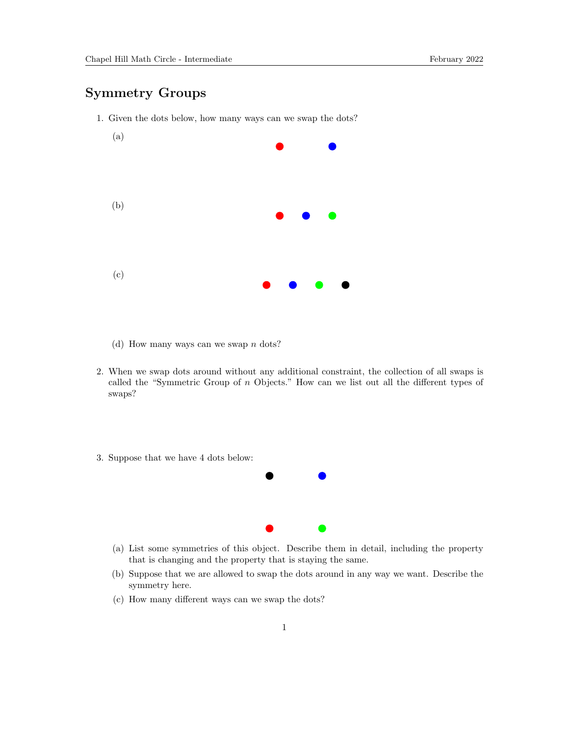## Symmetry Groups



1. Given the dots below, how many ways can we swap the dots?

- (d) How many ways can we swap  $n \text{ dots}$ ?
- 2. When we swap dots around without any additional constraint, the collection of all swaps is called the "Symmetric Group of n Objects." How can we list out all the different types of swaps?
- 3. Suppose that we have 4 dots below:



- (a) List some symmetries of this object. Describe them in detail, including the property that is changing and the property that is staying the same.
- (b) Suppose that we are allowed to swap the dots around in any way we want. Describe the symmetry here.
- (c) How many different ways can we swap the dots?